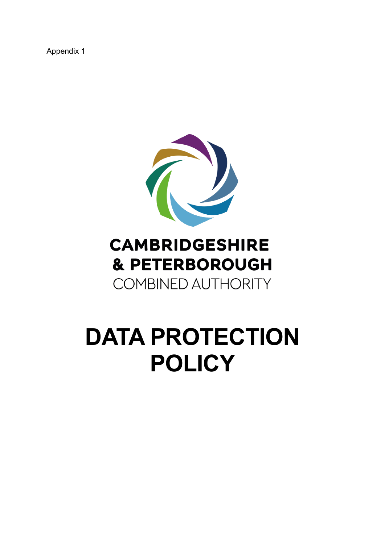Appendix 1



# **CAMBRIDGESHIRE & PETERBOROUGH COMBINED AUTHORITY**

# **DATA PROTECTION POLICY**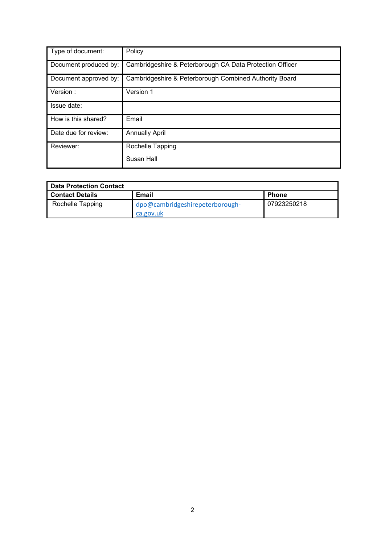| Type of document:     | Policy                                                   |
|-----------------------|----------------------------------------------------------|
| Document produced by: | Cambridgeshire & Peterborough CA Data Protection Officer |
| Document approved by: | Cambridgeshire & Peterborough Combined Authority Board   |
| Version:              | Version 1                                                |
| Issue date:           |                                                          |
| How is this shared?   | Email                                                    |
| Date due for review:  | <b>Annually April</b>                                    |
| Reviewer:             | Rochelle Tapping                                         |
|                       | Susan Hall                                               |

| <b>Data Protection Contact</b> |                                              |              |  |
|--------------------------------|----------------------------------------------|--------------|--|
| <b>Contact Details</b>         | <b>Email</b>                                 | <b>Phone</b> |  |
| Rochelle Tapping               | dpo@cambridgeshirepeterborough-<br>ca.gov.uk | 07923250218  |  |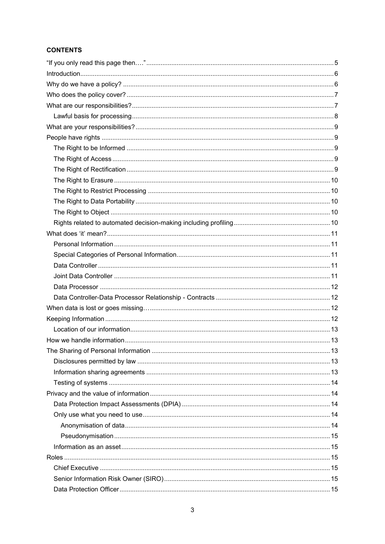#### **CONTENTS**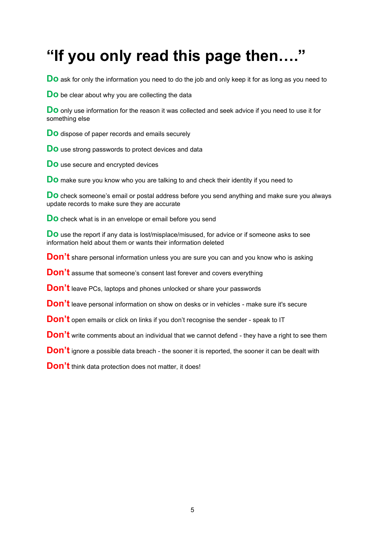# <span id="page-4-0"></span>**"If you only read this page then…."**

**Do** ask for only the information you need to do the job and only keep it for as long as you need to

**Do** be clear about why you are collecting the data

**Do** only use information for the reason it was collected and seek advice if you need to use it for something else

**Do** dispose of paper records and emails securely

**Do** use strong passwords to protect devices and data

**Do** use secure and encrypted devices

**Do** make sure you know who you are talking to and check their identity if you need to

**Do** check someone's email or postal address before you send anything and make sure you always update records to make sure they are accurate

**Do** check what is in an envelope or email before you send

**Do** use the report if any data is lost/misplace/misused, for advice or if someone asks to see information held about them or wants their information deleted

**Don't** share personal information unless you are sure you can and you know who is asking

**Don't** assume that someone's consent last forever and covers everything

**Don't** leave PCs, laptops and phones unlocked or share your passwords

**Don't** leave personal information on show on desks or in vehicles - make sure it's secure

**Don't** open emails or click on links if you don't recognise the sender - speak to IT

**Don't** write comments about an individual that we cannot defend - they have a right to see them

**Don't** ignore a possible data breach - the sooner it is reported, the sooner it can be dealt with

**Don't** think data protection does not matter, it does!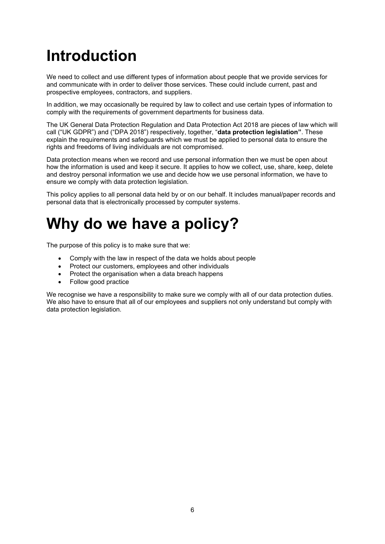# <span id="page-5-0"></span>**Introduction**

We need to collect and use different types of information about people that we provide services for and communicate with in order to deliver those services. These could include current, past and prospective employees, contractors, and suppliers.

In addition, we may occasionally be required by law to collect and use certain types of information to comply with the requirements of government departments for business data.

The UK General Data Protection Regulation and Data Protection Act 2018 are pieces of law which will call ("UK GDPR") and ("DPA 2018") respectively, together, "**data protection legislation"**. These explain the requirements and safeguards which we must be applied to personal data to ensure the rights and freedoms of living individuals are not compromised.

Data protection means when we record and use personal information then we must be open about how the information is used and keep it secure. It applies to how we collect, use, share, keep, delete and destroy personal information we use and decide how we use personal information, we have to ensure we comply with data protection legislation.

This policy applies to all personal data held by or on our behalf. It includes manual/paper records and personal data that is electronically processed by computer systems.

# <span id="page-5-1"></span>**Why do we have a policy?**

The purpose of this policy is to make sure that we:

- Comply with the law in respect of the data we holds about people
- Protect our customers, employees and other individuals
- Protect the organisation when a data breach happens
- Follow good practice

We recognise we have a responsibility to make sure we comply with all of our data protection duties. We also have to ensure that all of our employees and suppliers not only understand but comply with data protection legislation.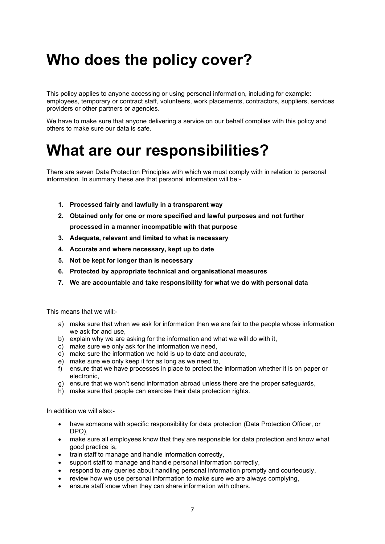# <span id="page-6-0"></span>**Who does the policy cover?**

This policy applies to anyone accessing or using personal information, including for example: employees, temporary or contract staff, volunteers, work placements, contractors, suppliers, services providers or other partners or agencies.

We have to make sure that anyone delivering a service on our behalf complies with this policy and others to make sure our data is safe.

### <span id="page-6-1"></span>**What are our responsibilities?**

There are seven Data Protection Principles with which we must comply with in relation to personal information. In summary these are that personal information will be:-

- **1. Processed fairly and lawfully in a transparent way**
- **2. Obtained only for one or more specified and lawful purposes and not further processed in a manner incompatible with that purpose**
- **3. Adequate, relevant and limited to what is necessary**
- **4. Accurate and where necessary, kept up to date**
- **5. Not be kept for longer than is necessary**
- **6. Protected by appropriate technical and organisational measures**
- **7. We are accountable and take responsibility for what we do with personal data**

This means that we will:-

- a) make sure that when we ask for information then we are fair to the people whose information we ask for and use,
- b) explain why we are asking for the information and what we will do with it,
- c) make sure we only ask for the information we need,
- d) make sure the information we hold is up to date and accurate,
- e) make sure we only keep it for as long as we need to,
- f) ensure that we have processes in place to protect the information whether it is on paper or electronic,
- g) ensure that we won't send information abroad unless there are the proper safeguards,
- h) make sure that people can exercise their data protection rights.

In addition we will also:-

- have someone with specific responsibility for data protection (Data Protection Officer, or DPO),
- make sure all employees know that they are responsible for data protection and know what good practice is,
- train staff to manage and handle information correctly,
- support staff to manage and handle personal information correctly,
- respond to any queries about handling personal information promptly and courteously,
- review how we use personal information to make sure we are always complying,
- ensure staff know when they can share information with others.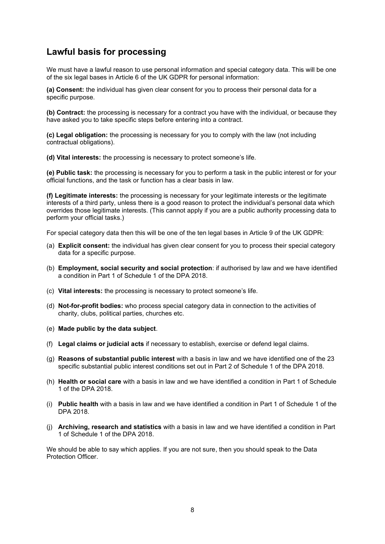### <span id="page-7-0"></span>**Lawful basis for processing**

We must have a lawful reason to use personal information and special category data. This will be one of the six legal bases in Article 6 of the UK GDPR for personal information:

**(a) Consent:** the individual has given clear consent for you to process their personal data for a specific purpose.

**(b) Contract:** the processing is necessary for a contract you have with the individual, or because they have asked you to take specific steps before entering into a contract.

**(c) Legal obligation:** the processing is necessary for you to comply with the law (not including contractual obligations).

**(d) Vital interests:** the processing is necessary to protect someone's life.

**(e) Public task:** the processing is necessary for you to perform a task in the public interest or for your official functions, and the task or function has a clear basis in law.

**(f) Legitimate interests:** the processing is necessary for your legitimate interests or the legitimate interests of a third party, unless there is a good reason to protect the individual's personal data which overrides those legitimate interests. (This cannot apply if you are a public authority processing data to perform your official tasks.)

For special category data then this will be one of the ten legal bases in Article 9 of the UK GDPR:

- (a) **Explicit consent:** the individual has given clear consent for you to process their special category data for a specific purpose.
- (b) **Employment, social security and social protection**: if authorised by law and we have identified a condition in Part 1 of Schedule 1 of the DPA 2018.
- (c) **Vital interests:** the processing is necessary to protect someone's life.
- (d) **Not-for-profit bodies:** who process special category data in connection to the activities of charity, clubs, political parties, churches etc.
- (e) **Made public by the data subject**.
- (f) **Legal claims or judicial acts** if necessary to establish, exercise or defend legal claims.
- (g) **Reasons of substantial public interest** with a basis in law and we have identified one of the 23 specific substantial public interest conditions set out in Part 2 of Schedule 1 of the DPA 2018.
- (h) **Health or social care** with a basis in law and we have identified a condition in Part 1 of Schedule 1 of the DPA 2018.
- (i) **Public health** with a basis in law and we have identified a condition in Part 1 of Schedule 1 of the DPA 2018.
- (j) **Archiving, research and statistics** with a basis in law and we have identified a condition in Part 1 of Schedule 1 of the DPA 2018.

We should be able to say which applies. If you are not sure, then you should speak to the Data Protection Officer.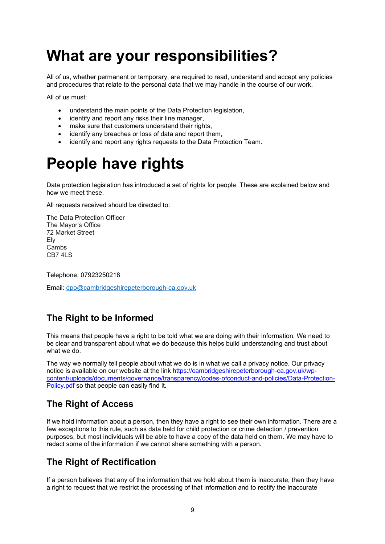# <span id="page-8-0"></span>**What are your responsibilities?**

All of us, whether permanent or temporary, are required to read, understand and accept any policies and procedures that relate to the personal data that we may handle in the course of our work.

All of us must:

- understand the main points of the Data Protection legislation,
- identify and report any risks their line manager,
- make sure that customers understand their rights,
- identify any breaches or loss of data and report them,
- identify and report any rights requests to the Data Protection Team.

### <span id="page-8-1"></span>**People have rights**

Data protection legislation has introduced a set of rights for people. These are explained below and how we meet these.

All requests received should be directed to:

The Data Protection Officer The Mayor's Office 72 Market Street Ely Cambs CB7 4LS

Telephone: 07923250218

Email: [dpo@cambridgeshirepeterborough-ca.gov.uk](mailto:dpo@cambridgeshirepeterborough-ca.gov.uk)

### <span id="page-8-2"></span>**The Right to be Informed**

This means that people have a right to be told what we are doing with their information. We need to be clear and transparent about what we do because this helps build understanding and trust about what we do.

The way we normally tell people about what we do is in what we call a privacy notice. Our privacy notice is available on our website at the link [https://cambridgeshirepeterborough-ca.gov.uk/wp](https://cambridgeshirepeterborough-ca.gov.uk/wp-content/uploads/documents/governance/transparency/codes-ofconduct-and-policies/Data-Protection-Policy.pdf)[content/uploads/documents/governance/transparency/codes-ofconduct-and-policies/Data-Protection-](https://cambridgeshirepeterborough-ca.gov.uk/wp-content/uploads/documents/governance/transparency/codes-ofconduct-and-policies/Data-Protection-Policy.pdf)[Policy.pdf s](https://cambridgeshirepeterborough-ca.gov.uk/wp-content/uploads/documents/governance/transparency/codes-ofconduct-and-policies/Data-Protection-Policy.pdf)o that people can easily find it.

### <span id="page-8-3"></span>**The Right of Access**

If we hold information about a person, then they have a right to see their own information. There are a few exceptions to this rule, such as data held for child protection or crime detection / prevention purposes, but most individuals will be able to have a copy of the data held on them. We may have to redact some of the information if we cannot share something with a person.

### <span id="page-8-4"></span>**The Right of Rectification**

If a person believes that any of the information that we hold about them is inaccurate, then they have a right to request that we restrict the processing of that information and to rectify the inaccurate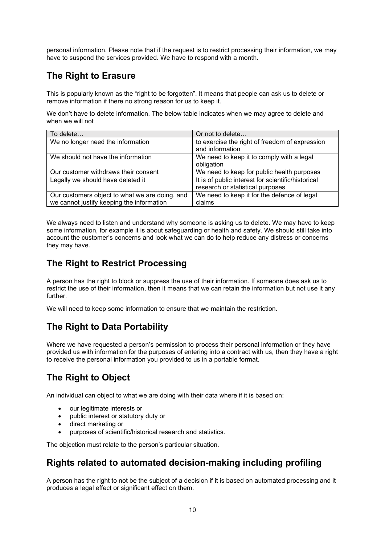personal information. Please note that if the request is to restrict processing their information, we may have to suspend the services provided. We have to respond with a month.

### <span id="page-9-0"></span>**The Right to Erasure**

This is popularly known as the "right to be forgotten". It means that people can ask us to delete or remove information if there no strong reason for us to keep it.

We don't have to delete information. The below table indicates when we may agree to delete and when we will not

| To delete                                      | Or not to delete                                   |
|------------------------------------------------|----------------------------------------------------|
| We no longer need the information              | to exercise the right of freedom of expression     |
|                                                | and information                                    |
| We should not have the information             | We need to keep it to comply with a legal          |
|                                                | obligation                                         |
| Our customer withdraws their consent           | We need to keep for public health purposes         |
| Legally we should have deleted it              | It is of public interest for scientific/historical |
|                                                | research or statistical purposes                   |
| Our customers object to what we are doing, and | We need to keep it for the defence of legal        |
| we cannot justify keeping the information      | claims                                             |

We always need to listen and understand why someone is asking us to delete. We may have to keep some information, for example it is about safeguarding or health and safety. We should still take into account the customer's concerns and look what we can do to help reduce any distress or concerns they may have.

### <span id="page-9-1"></span>**The Right to Restrict Processing**

A person has the right to block or suppress the use of their information. If someone does ask us to restrict the use of their information, then it means that we can retain the information but not use it any further.

We will need to keep some information to ensure that we maintain the restriction.

### <span id="page-9-2"></span>**The Right to Data Portability**

Where we have requested a person's permission to process their personal information or they have provided us with information for the purposes of entering into a contract with us, then they have a right to receive the personal information you provided to us in a portable format.

### <span id="page-9-3"></span>**The Right to Object**

An individual can object to what we are doing with their data where if it is based on:

- our legitimate interests or
- public interest or statutory duty or
- direct marketing or
- purposes of scientific/historical research and statistics.

The objection must relate to the person's particular situation.

### <span id="page-9-4"></span>**Rights related to automated decision-making including profiling**

A person has the right to not be the subject of a decision if it is based on automated processing and it produces a legal effect or significant effect on them.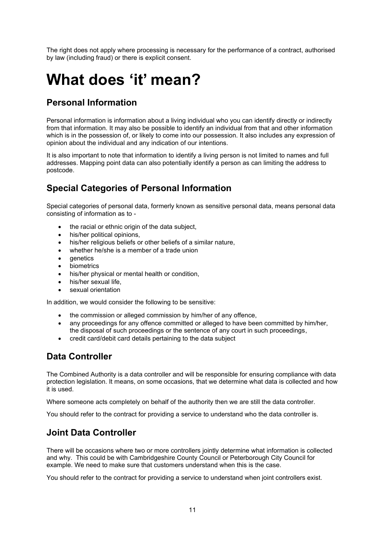The right does not apply where processing is necessary for the performance of a contract, authorised by law (including fraud) or there is explicit consent.

# <span id="page-10-0"></span>**What does 'it' mean?**

### <span id="page-10-1"></span>**Personal Information**

Personal information is information about a living individual who you can identify directly or indirectly from that information. It may also be possible to identify an individual from that and other information which is in the possession of, or likely to come into our possession. It also includes any expression of opinion about the individual and any indication of our intentions.

It is also important to note that information to identify a living person is not limited to names and full addresses. Mapping point data can also potentially identify a person as can limiting the address to postcode.

### <span id="page-10-2"></span>**Special Categories of Personal Information**

Special categories of personal data, formerly known as sensitive personal data, means personal data consisting of information as to -

- the racial or ethnic origin of the data subject,
- his/her political opinions,
- his/her religious beliefs or other beliefs of a similar nature,
- whether he/she is a member of a trade union
- genetics
- biometrics
- his/her physical or mental health or condition,
- his/her sexual life.
- sexual orientation

In addition, we would consider the following to be sensitive:

- the commission or alleged commission by him/her of any offence.
- any proceedings for any offence committed or alleged to have been committed by him/her, the disposal of such proceedings or the sentence of any court in such proceedings,
- credit card/debit card details pertaining to the data subject

### <span id="page-10-3"></span>**Data Controller**

The Combined Authority is a data controller and will be responsible for ensuring compliance with data protection legislation. It means, on some occasions, that we determine what data is collected and how it is used.

Where someone acts completely on behalf of the authority then we are still the data controller.

You should refer to the contract for providing a service to understand who the data controller is.

### <span id="page-10-4"></span>**Joint Data Controller**

There will be occasions where two or more controllers jointly determine what information is collected and why. This could be with Cambridgeshire County Council or Peterborough City Council for example. We need to make sure that customers understand when this is the case.

You should refer to the contract for providing a service to understand when joint controllers exist.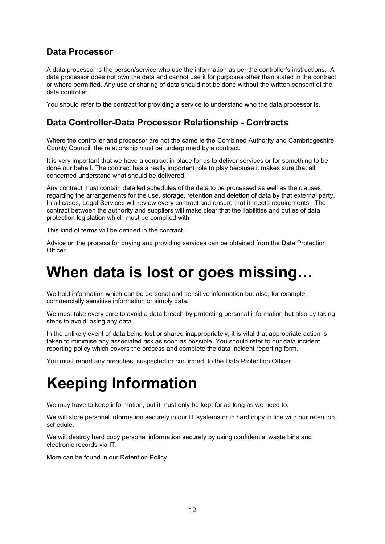### <span id="page-11-0"></span>**Data Processor**

A data processor is the person/service who use the information as per the controller's instructions. A data processor does not own the data and cannot use it for purposes other than stated in the contract or where permitted. Any use or sharing of data should not be done without the written consent of the data controller.

You should refer to the contract for providing a service to understand who the data processor is.

### <span id="page-11-1"></span>**Data Controller-Data Processor Relationship - Contracts**

Where the controller and processor are not the same ie the Combined Authority and Cambridgeshire County Council, the relationship must be underpinned by a contract.

It is very important that we have a contract in place for us to deliver services or for something to be done our behalf. The contract has a really important role to play because it makes sure that all concerned understand what should be delivered.

Any contract must contain detailed schedules of the data to be processed as well as the clauses regarding the arrangements for the use, storage, retention and deletion of data by that external party. In all cases, Legal Services will review every contract and ensure that it meets requirements. The contract between the authority and suppliers will make clear that the liabilities and duties of data protection legislation which must be complied with

This kind of terms will be defined in the contract.

Advice on the process for buying and providing services can be obtained from the Data Protection Officer.

# <span id="page-11-2"></span>**When data is lost or goes missing…**

We hold information which can be personal and sensitive information but also, for example, commercially sensitive information or simply data.

We must take every care to avoid a data breach by protecting personal information but also by taking steps to avoid losing any data.

In the unlikely event of data being lost or shared inappropriately, it is vital that appropriate action is taken to minimise any associated risk as soon as possible. You should refer to our data incident reporting policy which covers the process and complete the data incident reporting form.

You must report any breaches, suspected or confirmed, to the Data Protection Officer.

# <span id="page-11-3"></span>**Keeping Information**

We may have to keep information, but it must only be kept for as long as we need to.

We will store personal information securely in our IT systems or in hard copy in line with our retention schedule.

We will destroy hard copy personal information securely by using confidential waste bins and electronic records via IT.

More can be found in our Retention Policy.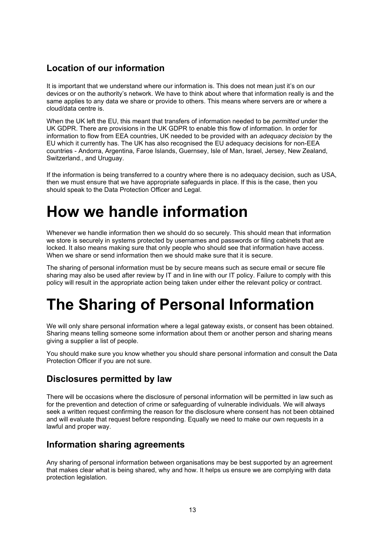### <span id="page-12-0"></span>**Location of our information**

It is important that we understand where our information is. This does not mean just it's on our devices or on the authority's network. We have to think about where that information really is and the same applies to any data we share or provide to others. This means where servers are or where a cloud/data centre is.

When the UK left the EU, this meant that transfers of information needed to be *permitted* under the UK GDPR. There are provisions in the UK GDPR to enable this flow of information. In order for information to flow from EEA countries, UK needed to be provided with an *adequacy decision* by the EU which it currently has. The UK has also recognised the EU adequacy decisions for non-EEA countries - Andorra, Argentina, Faroe Islands, Guernsey, Isle of Man, Israel, Jersey, New Zealand, Switzerland., and Uruguay.

If the information is being transferred to a country where there is no adequacy decision, such as USA, then we must ensure that we have appropriate safeguards in place. If this is the case, then you should speak to the Data Protection Officer and Legal.

### <span id="page-12-1"></span>**How we handle information**

Whenever we handle information then we should do so securely. This should mean that information we store is securely in systems protected by usernames and passwords or filing cabinets that are locked. It also means making sure that only people who should see that information have access. When we share or send information then we should make sure that it is secure.

The sharing of personal information must be by secure means such as secure email or secure file sharing may also be used after review by IT and in line with our IT policy. Failure to comply with this policy will result in the appropriate action being taken under either the relevant policy or contract.

# <span id="page-12-2"></span>**The Sharing of Personal Information**

We will only share personal information where a legal gateway exists, or consent has been obtained. Sharing means telling someone some information about them or another person and sharing means giving a supplier a list of people.

You should make sure you know whether you should share personal information and consult the Data Protection Officer if you are not sure.

#### <span id="page-12-3"></span>**Disclosures permitted by law**

There will be occasions where the disclosure of personal information will be permitted in law such as for the prevention and detection of crime or safeguarding of vulnerable individuals. We will always seek a written request confirming the reason for the disclosure where consent has not been obtained and will evaluate that request before responding. Equally we need to make our own requests in a lawful and proper way.

### <span id="page-12-4"></span>**Information sharing agreements**

Any sharing of personal information between organisations may be best supported by an agreement that makes clear what is being shared, why and how. It helps us ensure we are complying with data protection legislation.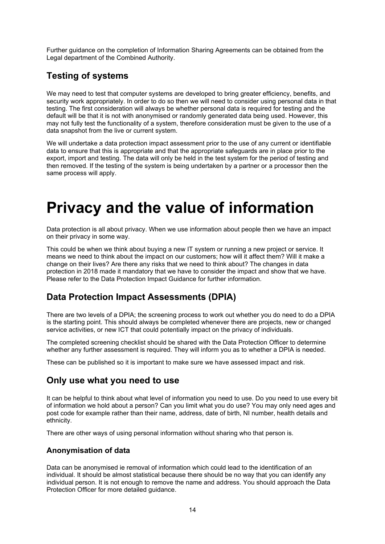Further guidance on the completion of Information Sharing Agreements can be obtained from the Legal department of the Combined Authority.

### <span id="page-13-0"></span>**Testing of systems**

We may need to test that computer systems are developed to bring greater efficiency, benefits, and security work appropriately. In order to do so then we will need to consider using personal data in that testing. The first consideration will always be whether personal data is required for testing and the default will be that it is not with anonymised or randomly generated data being used. However, this may not fully test the functionality of a system, therefore consideration must be given to the use of a data snapshot from the live or current system.

We will undertake a data protection impact assessment prior to the use of any current or identifiable data to ensure that this is appropriate and that the appropriate safeguards are in place prior to the export, import and testing. The data will only be held in the test system for the period of testing and then removed. If the testing of the system is being undertaken by a partner or a processor then the same process will apply.

### <span id="page-13-1"></span>**Privacy and the value of information**

Data protection is all about privacy. When we use information about people then we have an impact on their privacy in some way.

This could be when we think about buying a new IT system or running a new project or service. It means we need to think about the impact on our customers; how will it affect them? Will it make a change on their lives? Are there any risks that we need to think about? The changes in data protection in 2018 made it mandatory that we have to consider the impact and show that we have. Please refer to the Data Protection Impact Guidance for further information.

### <span id="page-13-2"></span>**Data Protection Impact Assessments (DPIA)**

There are two levels of a DPIA; the screening process to work out whether you do need to do a DPIA is the starting point. This should always be completed whenever there are projects, new or changed service activities, or new ICT that could potentially impact on the privacy of individuals.

The completed screening checklist should be shared with the Data Protection Officer to determine whether any further assessment is required. They will inform you as to whether a DPIA is needed.

These can be published so it is important to make sure we have assessed impact and risk.

### <span id="page-13-3"></span>**Only use what you need to use**

It can be helpful to think about what level of information you need to use. Do you need to use every bit of information we hold about a person? Can you limit what you do use? You may only need ages and post code for example rather than their name, address, date of birth, NI number, health details and ethnicity.

There are other ways of using personal information without sharing who that person is.

#### <span id="page-13-4"></span>**Anonymisation of data**

Data can be anonymised ie removal of information which could lead to the identification of an individual. It should be almost statistical because there should be no way that you can identify any individual person. It is not enough to remove the name and address. You should approach the Data Protection Officer for more detailed guidance.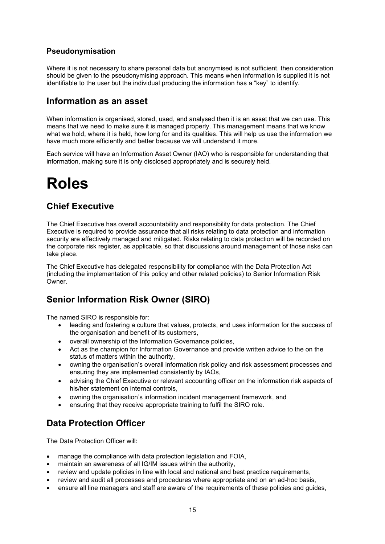#### <span id="page-14-0"></span>**Pseudonymisation**

Where it is not necessary to share personal data but anonymised is not sufficient, then consideration should be given to the pseudonymising approach. This means when information is supplied it is not identifiable to the user but the individual producing the information has a "key" to identify.

#### <span id="page-14-1"></span>**Information as an asset**

When information is organised, stored, used, and analysed then it is an asset that we can use. This means that we need to make sure it is managed properly. This management means that we know what we hold, where it is held, how long for and its qualities. This will help us use the information we have much more efficiently and better because we will understand it more.

Each service will have an Information Asset Owner (IAO) who is responsible for understanding that information, making sure it is only disclosed appropriately and is securely held.

### <span id="page-14-2"></span>**Roles**

#### <span id="page-14-3"></span>**Chief Executive**

The Chief Executive has overall accountability and responsibility for data protection. The Chief Executive is required to provide assurance that all risks relating to data protection and information security are effectively managed and mitigated. Risks relating to data protection will be recorded on the corporate risk register, as applicable, so that discussions around management of those risks can take place.

The Chief Executive has delegated responsibility for compliance with the Data Protection Act (including the implementation of this policy and other related policies) to Senior Information Risk Owner.

### <span id="page-14-4"></span>**Senior Information Risk Owner (SIRO)**

The named SIRO is responsible for:

- leading and fostering a culture that values, protects, and uses information for the success of the organisation and benefit of its customers,
- overall ownership of the Information Governance policies,
- Act as the champion for Information Governance and provide written advice to the on the status of matters within the authority,
- owning the organisation's overall information risk policy and risk assessment processes and ensuring they are implemented consistently by IAOs,
- advising the Chief Executive or relevant accounting officer on the information risk aspects of his/her statement on internal controls,
- owning the organisation's information incident management framework, and
- ensuring that they receive appropriate training to fulfil the SIRO role.

### <span id="page-14-5"></span>**Data Protection Officer**

The Data Protection Officer will:

- manage the compliance with data protection legislation and FOIA,
- maintain an awareness of all IG/IM issues within the authority,
- review and update policies in line with local and national and best practice requirements,
- review and audit all processes and procedures where appropriate and on an ad-hoc basis,
- ensure all line managers and staff are aware of the requirements of these policies and guides,